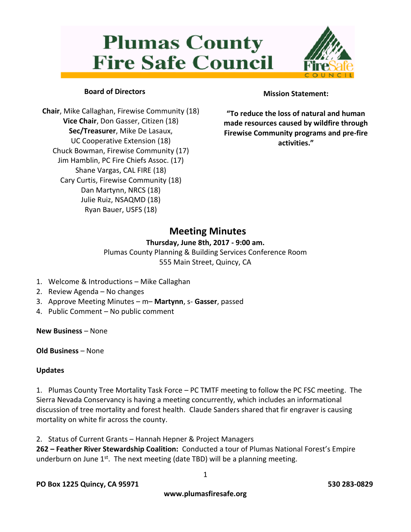# **Plumas County Fire Safe Council**



# **Board of Directors**

**Chair**, Mike Callaghan, Firewise Community (18) **Vice Chair**, Don Gasser, Citizen (18) **Sec/Treasurer**, Mike De Lasaux, UC Cooperative Extension (18) Chuck Bowman, Firewise Community (17) Jim Hamblin, PC Fire Chiefs Assoc. (17) Shane Vargas, CAL FIRE (18) Cary Curtis, Firewise Community (18) Dan Martynn, NRCS (18) Julie Ruiz, NSAQMD (18) Ryan Bauer, USFS (18)

## **Mission Statement:**

**"To reduce the loss of natural and human made resources caused by wildfire through Firewise Community programs and pre-fire activities."**

# **Meeting Minutes**

### **Thursday, June 8th, 2017 - 9:00 am.**

Plumas County Planning & Building Services Conference Room 555 Main Street, Quincy, CA

- 1. Welcome & Introductions Mike Callaghan
- 2. Review Agenda No changes
- 3. Approve Meeting Minutes m– **Martynn**, s- **Gasser**, passed
- 4. Public Comment No public comment

**New Business** – None

#### **Old Business** – None

### **Updates**

1. Plumas County Tree Mortality Task Force – PC TMTF meeting to follow the PC FSC meeting. The Sierra Nevada Conservancy is having a meeting concurrently, which includes an informational discussion of tree mortality and forest health. Claude Sanders shared that fir engraver is causing mortality on white fir across the county.

2. Status of Current Grants – Hannah Hepner & Project Managers

**262 – Feather River Stewardship Coalition:** Conducted a tour of Plumas National Forest's Empire underburn on June  $1^{st}$ . The next meeting (date TBD) will be a planning meeting.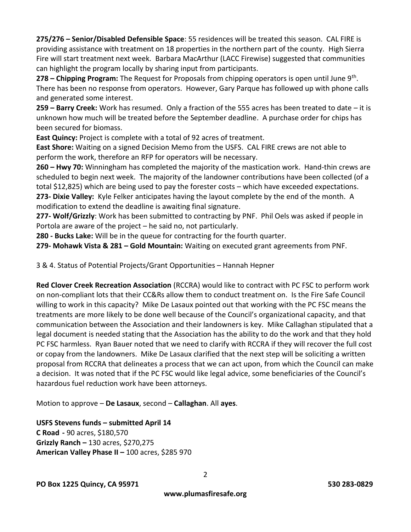**275/276 – Senior/Disabled Defensible Space**: 55 residences will be treated this season. CAL FIRE is providing assistance with treatment on 18 properties in the northern part of the county. High Sierra Fire will start treatment next week. Barbara MacArthur (LACC Firewise) suggested that communities can highlight the program locally by sharing input from participants.

**278 – Chipping Program:** The Request for Proposals from chipping operators is open until June 9<sup>th</sup>. There has been no response from operators. However, Gary Parque has followed up with phone calls and generated some interest.

**259 – Barry Creek:** Work has resumed. Only a fraction of the 555 acres has been treated to date – it is unknown how much will be treated before the September deadline. A purchase order for chips has been secured for biomass.

**East Quincy:** Project is complete with a total of 92 acres of treatment.

**East Shore:** Waiting on a signed Decision Memo from the USFS. CAL FIRE crews are not able to perform the work, therefore an RFP for operators will be necessary.

**260 – Hwy 70:** Winningham has completed the majority of the mastication work. Hand-thin crews are scheduled to begin next week. The majority of the landowner contributions have been collected (of a total \$12,825) which are being used to pay the forester costs – which have exceeded expectations. **273- Dixie Valley:** Kyle Felker anticipates having the layout complete by the end of the month. A modification to extend the deadline is awaiting final signature.

**277- Wolf/Grizzly**: Work has been submitted to contracting by PNF. Phil Oels was asked if people in Portola are aware of the project – he said no, not particularly.

**280 - Bucks Lake:** Will be in the queue for contracting for the fourth quarter.

**279- Mohawk Vista & 281 – Gold Mountain:** Waiting on executed grant agreements from PNF.

3 & 4. Status of Potential Projects/Grant Opportunities – Hannah Hepner

**Red Clover Creek Recreation Association** (RCCRA) would like to contract with PC FSC to perform work on non-compliant lots that their CC&Rs allow them to conduct treatment on. Is the Fire Safe Council willing to work in this capacity? Mike De Lasaux pointed out that working with the PC FSC means the treatments are more likely to be done well because of the Council's organizational capacity, and that communication between the Association and their landowners is key. Mike Callaghan stipulated that a legal document is needed stating that the Association has the ability to do the work and that they hold PC FSC harmless. Ryan Bauer noted that we need to clarify with RCCRA if they will recover the full cost or copay from the landowners. Mike De Lasaux clarified that the next step will be soliciting a written proposal from RCCRA that delineates a process that we can act upon, from which the Council can make a decision. It was noted that if the PC FSC would like legal advice, some beneficiaries of the Council's hazardous fuel reduction work have been attorneys.

Motion to approve – **De Lasaux**, second – **Callaghan**. All **ayes**.

**USFS Stevens funds – submitted April 14 C Road -** 90 acres, \$180,570 **Grizzly Ranch –** 130 acres, \$270,275 **American Valley Phase II –** 100 acres, \$285 970

2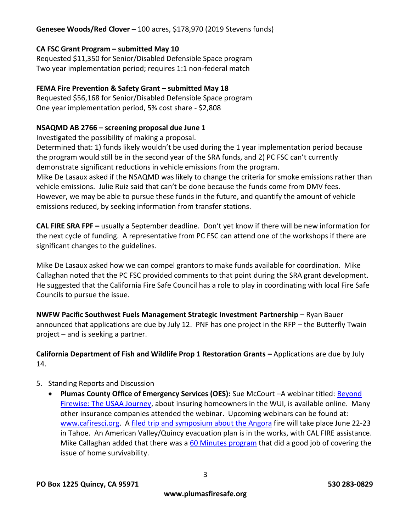# **Genesee Woods/Red Clover –** 100 acres, \$178,970 (2019 Stevens funds)

#### **CA FSC Grant Program – submitted May 10**

Requested \$11,350 for Senior/Disabled Defensible Space program Two year implementation period; requires 1:1 non-federal match

#### **FEMA Fire Prevention & Safety Grant – submitted May 18**

Requested \$56,168 for Senior/Disabled Defensible Space program One year implementation period, 5% cost share - \$2,808

#### **NSAQMD AB 2766 – screening proposal due June 1**

Investigated the possibility of making a proposal.

Determined that: 1) funds likely wouldn't be used during the 1 year implementation period because the program would still be in the second year of the SRA funds, and 2) PC FSC can't currently demonstrate significant reductions in vehicle emissions from the program.

Mike De Lasaux asked if the NSAQMD was likely to change the criteria for smoke emissions rather than vehicle emissions. Julie Ruiz said that can't be done because the funds come from DMV fees. However, we may be able to pursue these funds in the future, and quantify the amount of vehicle emissions reduced, by seeking information from transfer stations.

**CAL FIRE SRA FPF –** usually a September deadline. Don't yet know if there will be new information for the next cycle of funding. A representative from PC FSC can attend one of the workshops if there are significant changes to the guidelines.

Mike De Lasaux asked how we can compel grantors to make funds available for coordination. Mike Callaghan noted that the PC FSC provided comments to that point during the SRA grant development. He suggested that the California Fire Safe Council has a role to play in coordinating with local Fire Safe Councils to pursue the issue.

**NWFW Pacific Southwest Fuels Management Strategic Investment Partnership –** Ryan Bauer announced that applications are due by July 12. PNF has one project in the RFP – the Butterfly Twain project – and is seeking a partner.

**California Department of Fish and Wildlife Prop 1 Restoration Grants –** Applications are due by July 14.

### 5. Standing Reports and Discussion

**• Plumas County Office of Emergency Services (OES):** Sue McCourt –A webinar titled: **Beyond** [Firewise: The USAA Journey,](https://www.youtube.com/watch?v=t9yhMqD7htI&feature=youtu.be) about insuring homeowners in the WUI, is available online. Many other insurance companies attended the webinar. Upcoming webinars can be found at: [www.cafiresci.org.](http://www.cafiresci.org/) A [filed trip and symposium about the Angora](http://www.cafiresci.org/events-webinars-source/category/the-angora-fire-10-years-later-what-have-we-learned-field-trip-symposium) fire will take place June 22-23 in Tahoe. An American Valley/Quincy evacuation plan is in the works, with CAL FIRE assistance. Mike Callaghan added that there was a [60 Minutes program](https://community.nfpa.org/community/fire-break/blog/2017/05/31/national-tv-news-magazine-60-minutes-investigates-the-wildfire-home-destruction-problem?utm_source=feedburner&utm_medium=feed&utm_campaign=Feed%3A+firebreak+%28Fire+Break+%E2%80%93+Wildfire+Safety+Blog%29) that did a good job of covering the issue of home survivability.